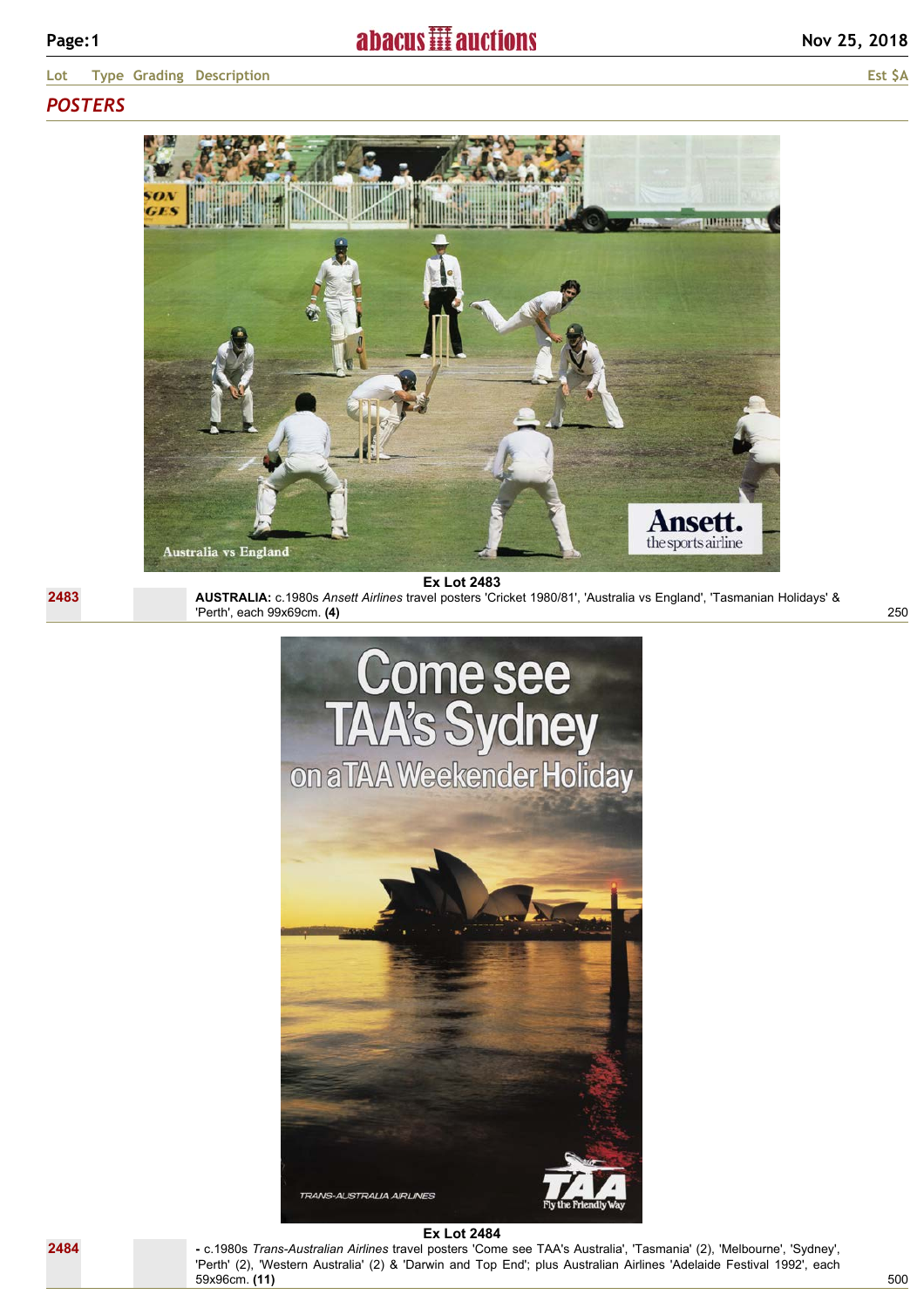**Lot Type Grading Description Est \$A**

# *POSTERS*

**2483**



Australia vs England

**Ex Lot 2483**

**AUSTRALIA:** c.1980s *Ansett Airlines* travel posters 'Cricket 1980/81', 'Australia vs England', 'Tasmanian Holidays' & 'Perth', each 99x69cm. **(4)**



#### **Ex Lot 2484**

**-** c.1980s *Trans-Australian Airlines* travel posters 'Come see TAA's Australia', 'Tasmania' (2), 'Melbourne', 'Sydney', 'Perth' (2), 'Western Australia' (2) & 'Darwin and Top End'; plus Australian Airlines 'Adelaide Festival 1992', each 59x96cm. **(11)**

250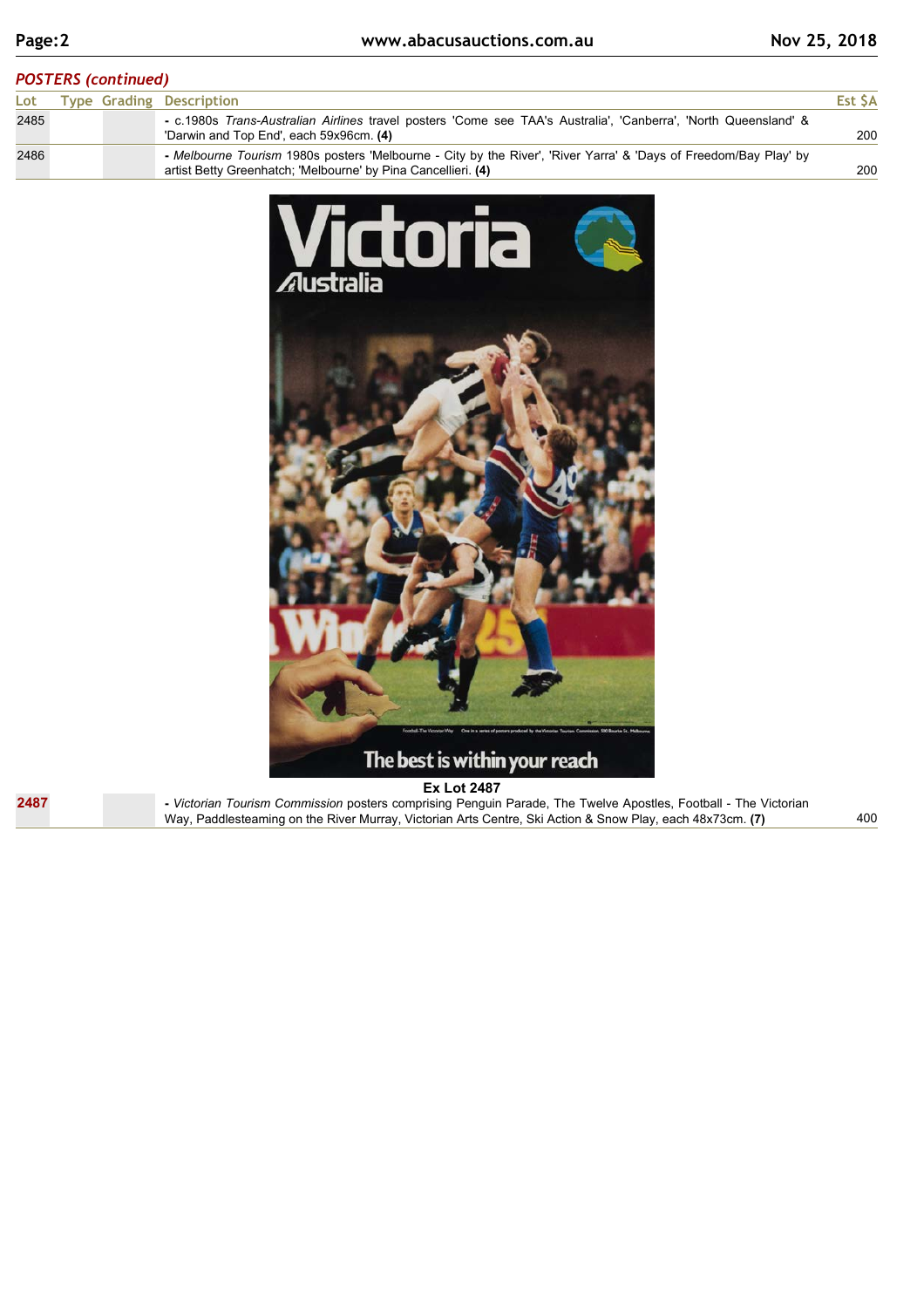## *POSTERS (continued)*

| Lot  |  | <b>Type Grading Description</b>                                                                                                                                                   | Est SA |
|------|--|-----------------------------------------------------------------------------------------------------------------------------------------------------------------------------------|--------|
| 2485 |  | - c.1980s Trans-Australian Airlines travel posters 'Come see TAA's Australia', 'Canberra', 'North Queensland' &<br>'Darwin and Top End', each 59x96cm. (4)                        | 200    |
| 2486 |  | - Melbourne Tourism 1980s posters 'Melbourne - City by the River', 'River Yarra' & 'Days of Freedom/Bay Play' by<br>artist Betty Greenhatch; 'Melbourne' by Pina Cancellieri. (4) | 200    |



**2487**

**Ex Lot 2487 -** *Victorian Tourism Commission* posters comprising Penguin Parade, The Twelve Apostles, Football - The Victorian Way, Paddlesteaming on the River Murray, Victorian Arts Centre, Ski Action & Snow Play, each 48x73cm. **(7)**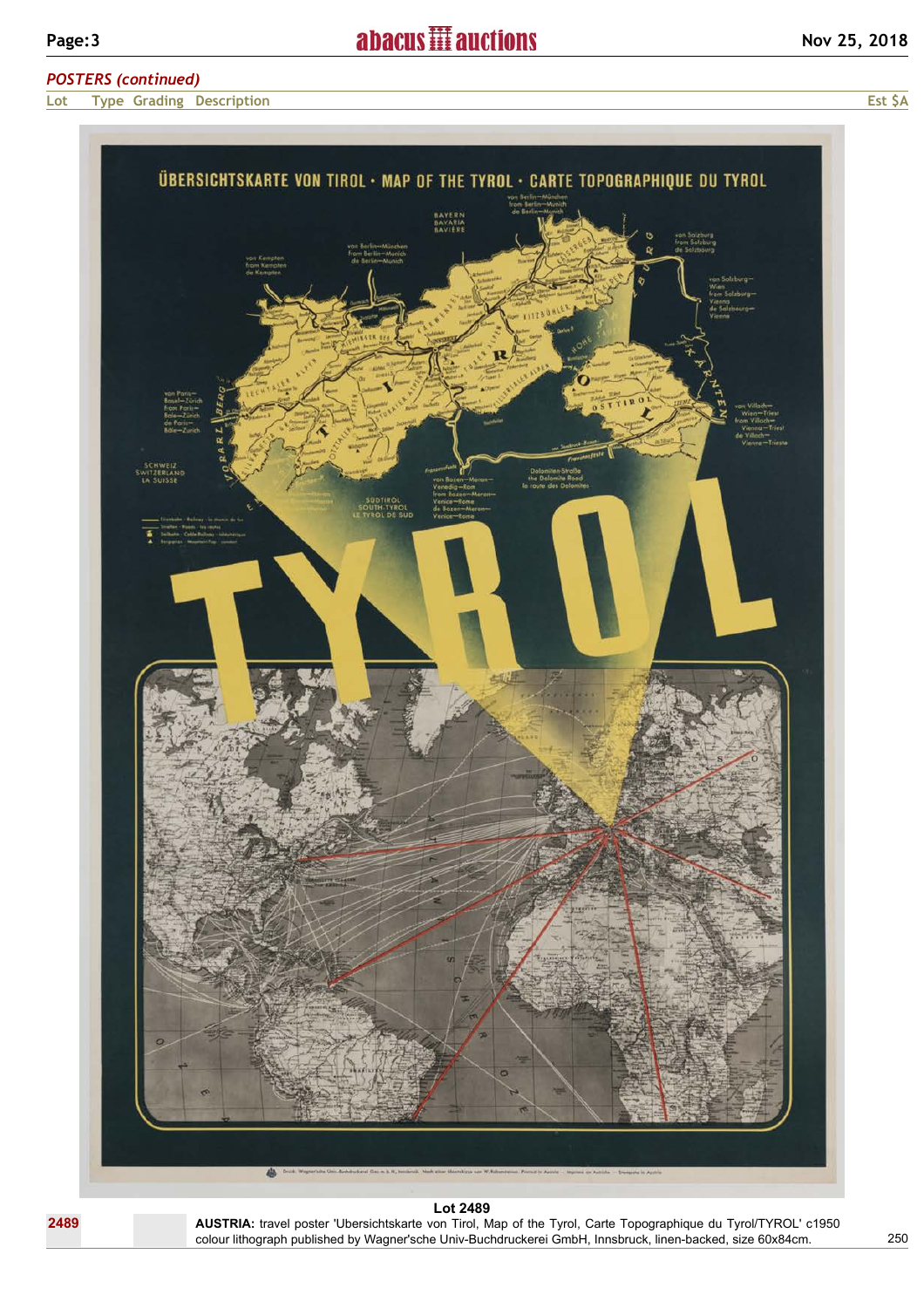# *POSTERS (continued)*

**Lot Type Grading Description Est \$A**



**AUSTRIA:** travel poster 'Ubersichtskarte von Tirol, Map of the Tyrol, Carte Topographique du Tyrol/TYROL' c1950 colour lithograph published by Wagner'sche Univ-Buchdruckerei GmbH, Innsbruck, linen-backed, size 60x84cm.